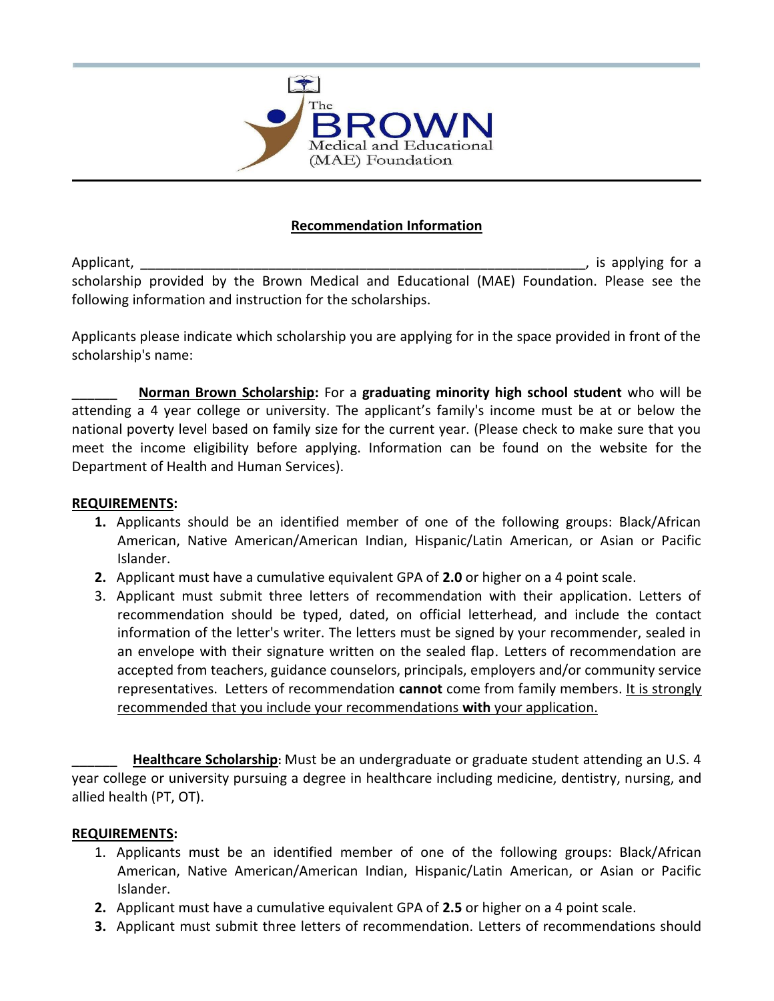

## **Recommendation Information**

Applicant, the contract of the contract of the contract of the contract of the contract of the contract of the contract of the contract of the contract of the contract of the contract of the contract of the contract of the scholarship provided by the Brown Medical and Educational (MAE) Foundation. Please see the following information and instruction for the scholarships.

Applicants please indicate which scholarship you are applying for in the space provided in front of the scholarship's name:

\_\_\_\_\_\_ **Norman Brown Scholarship:** For a **graduating minority high school student** who will be attending a 4 year college or university. The applicant's family's income must be at or below the national poverty level based on family size for the current year. (Please check to make sure that you meet the income eligibility before applying. Information can be found on the website for the Department of Health and Human Services).

### **REQUIREMENTS:**

- **1.** Applicants should be an identified member of one of the following groups: Black/African American, Native American/American Indian, Hispanic/Latin American, or Asian or Pacific Islander.
- **2.** Applicant must have a cumulative equivalent GPA of **2.0** or higher on a 4 point scale.
- 3. Applicant must submit three letters of recommendation with their application. Letters of recommendation should be typed, dated, on official letterhead, and include the contact information of the letter's writer. The letters must be signed by your recommender, sealed in an envelope with their signature written on the sealed flap. Letters of recommendation are accepted from teachers, guidance counselors, principals, employers and/or community service representatives. Letters of recommendation **cannot** come from family members. It is strongly recommended that you include your recommendations **with** your application.

\_\_\_\_\_\_ **Healthcare Scholarship:** Must be an undergraduate or graduate student attending an U.S. 4 year college or university pursuing a degree in healthcare including medicine, dentistry, nursing, and allied health (PT, OT).

#### **REQUIREMENTS:**

- 1. Applicants must be an identified member of one of the following groups: Black/African American, Native American/American Indian, Hispanic/Latin American, or Asian or Pacific Islander.
- **2.** Applicant must have a cumulative equivalent GPA of **2.5** or higher on a 4 point scale.
- **3.** Applicant must submit three letters of recommendation. Letters of recommendations should